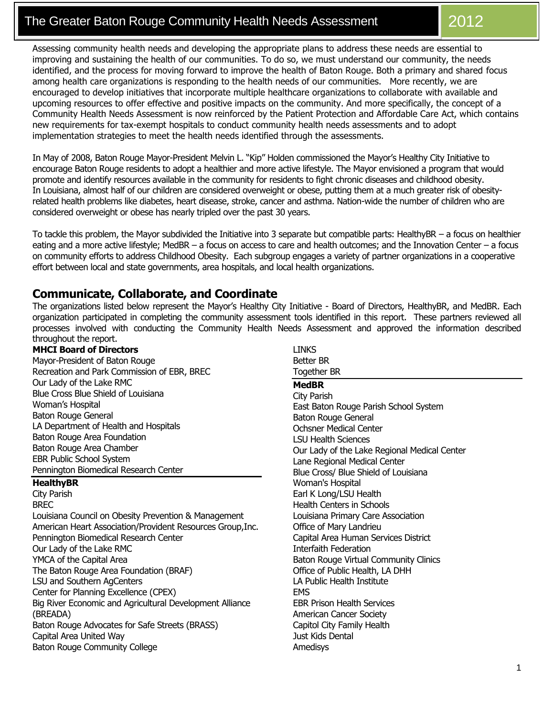# The Greater Baton Rouge Community Health Needs Assessment **1** 2012

Assessing community health needs and developing the appropriate plans to address these needs are essential to improving and sustaining the health of our communities. To do so, we must understand our community, the needs identified, and the process for moving forward to improve the health of Baton Rouge. Both a primary and shared focus among health care organizations is responding to the health needs of our communities. More recently, we are encouraged to develop initiatives that incorporate multiple healthcare organizations to collaborate with available and upcoming resources to offer effective and positive impacts on the community. And more specifically, the concept of a Community Health Needs Assessment is now reinforced by the Patient Protection and Affordable Care Act, which contains new requirements for tax-exempt hospitals to conduct community health needs assessments and to adopt implementation strategies to meet the health needs identified through the assessments.

In May of 2008, Baton Rouge Mayor-President Melvin L. "Kip" Holden commissioned the Mayor's Healthy City Initiative to encourage Baton Rouge residents to adopt a healthier and more active lifestyle. The Mayor envisioned a program that would promote and identify resources available in the community for residents to fight chronic diseases and childhood obesity. In Louisiana, almost half of our children are considered overweight or obese, putting them at a much greater risk of obesityrelated health problems like diabetes, heart disease, stroke, cancer and asthma. Nation-wide the number of children who are considered overweight or obese has nearly tripled over the past 30 years.

To tackle this problem, the Mayor subdivided the Initiative into 3 separate but compatible parts: HealthyBR – a focus on healthier eating and a more active lifestyle; MedBR – a focus on access to care and health outcomes; and the Innovation Center – a focus on community efforts to address Childhood Obesity. Each subgroup engages a variety of partner organizations in a cooperative effort between local and state governments, area hospitals, and local health organizations.

## **Communicate, Collaborate, and Coordinate**

The organizations listed below represent the Mayor's Healthy City Initiative - Board of Directors, HealthyBR, and MedBR. Each organization participated in completing the community assessment tools identified in this report. These partners reviewed all processes involved with conducting the Community Health Needs Assessment and approved the information described throughout the report.

#### **MHCI Board of Directors**

Mayor-President of Baton Rouge Recreation and Park Commission of EBR, BREC Our Lady of the Lake RMC Blue Cross Blue Shield of Louisiana Woman's Hospital Baton Rouge General LA Department of Health and Hospitals Baton Rouge Area Foundation Baton Rouge Area Chamber EBR Public School System Pennington Biomedical Research Center

#### **HealthyBR**

City Parish BREC Louisiana Council on Obesity Prevention & Management American Heart Association/Provident Resources Group,Inc. Pennington Biomedical Research Center Our Lady of the Lake RMC YMCA of the Capital Area The Baton Rouge Area Foundation (BRAF) LSU and Southern AgCenters Center for Planning Excellence (CPEX) Big River Economic and Agricultural Development Alliance (BREADA) Baton Rouge Advocates for Safe Streets (BRASS) Capital Area United Way Baton Rouge Community College

LINKS Better BR Together BR **MedBR**  City Parish East Baton Rouge Parish School System Baton Rouge General Ochsner Medical Center LSU Health Sciences Our Lady of the Lake Regional Medical Center Lane Regional Medical Center Blue Cross/ Blue Shield of Louisiana Woman's Hospital Earl K Long/LSU Health Health Centers in Schools Louisiana Primary Care Association Office of Mary Landrieu Capital Area Human Services District Interfaith Federation Baton Rouge Virtual Community Clinics Office of Public Health, LA DHH LA Public Health Institute **EMS** EBR Prison Health Services American Cancer Society Capitol City Family Health Just Kids Dental Amedisys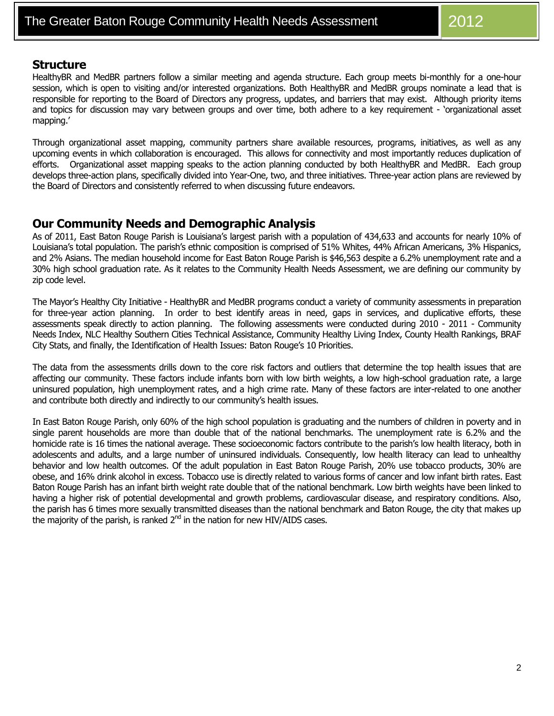### **Structure**

HealthyBR and MedBR partners follow a similar meeting and agenda structure. Each group meets bi-monthly for a one-hour session, which is open to visiting and/or interested organizations. Both HealthyBR and MedBR groups nominate a lead that is responsible for reporting to the Board of Directors any progress, updates, and barriers that may exist. Although priority items and topics for discussion may vary between groups and over time, both adhere to a key requirement - 'organizational asset mapping.'

Through organizational asset mapping, community partners share available resources, programs, initiatives, as well as any upcoming events in which collaboration is encouraged. This allows for connectivity and most importantly reduces duplication of efforts. Organizational asset mapping speaks to the action planning conducted by both HealthyBR and MedBR. Each group develops three-action plans, specifically divided into Year-One, two, and three initiatives. Three-year action plans are reviewed by the Board of Directors and consistently referred to when discussing future endeavors.

## **Our Community Needs and Demographic Analysis**

As of 2011, East Baton Rouge Parish is Louisiana's largest parish with a population of 434,633 and accounts for nearly 10% of Louisiana's total population. The parish's ethnic composition is comprised of 51% Whites, 44% African Americans, 3% Hispanics, and 2% Asians. The median household income for East Baton Rouge Parish is \$46,563 despite a 6.2% unemployment rate and a 30% high school graduation rate. As it relates to the Community Health Needs Assessment, we are defining our community by zip code level.

The Mayor's Healthy City Initiative - HealthyBR and MedBR programs conduct a variety of community assessments in preparation for three-year action planning. In order to best identify areas in need, gaps in services, and duplicative efforts, these assessments speak directly to action planning. The following assessments were conducted during 2010 - 2011 - Community Needs Index, NLC Healthy Southern Cities Technical Assistance, Community Healthy Living Index, County Health Rankings, BRAF City Stats, and finally, the Identification of Health Issues: Baton Rouge's 10 Priorities.

The data from the assessments drills down to the core risk factors and outliers that determine the top health issues that are affecting our community. These factors include infants born with low birth weights, a low high-school graduation rate, a large uninsured population, high unemployment rates, and a high crime rate. Many of these factors are inter-related to one another and contribute both directly and indirectly to our community's health issues.

In East Baton Rouge Parish, only 60% of the high school population is graduating and the numbers of children in poverty and in single parent households are more than double that of the national benchmarks. The unemployment rate is 6.2% and the homicide rate is 16 times the national average. These socioeconomic factors contribute to the parish's low health literacy, both in adolescents and adults, and a large number of uninsured individuals. Consequently, low health literacy can lead to unhealthy behavior and low health outcomes. Of the adult population in East Baton Rouge Parish, 20% use tobacco products, 30% are obese, and 16% drink alcohol in excess. Tobacco use is directly related to various forms of cancer and low infant birth rates. East Baton Rouge Parish has an infant birth weight rate double that of the national benchmark. Low birth weights have been linked to having a higher risk of potential developmental and growth problems, cardiovascular disease, and respiratory conditions. Also, the parish has 6 times more sexually transmitted diseases than the national benchmark and Baton Rouge, the city that makes up the majority of the parish, is ranked  $2<sup>nd</sup>$  in the nation for new HIV/AIDS cases.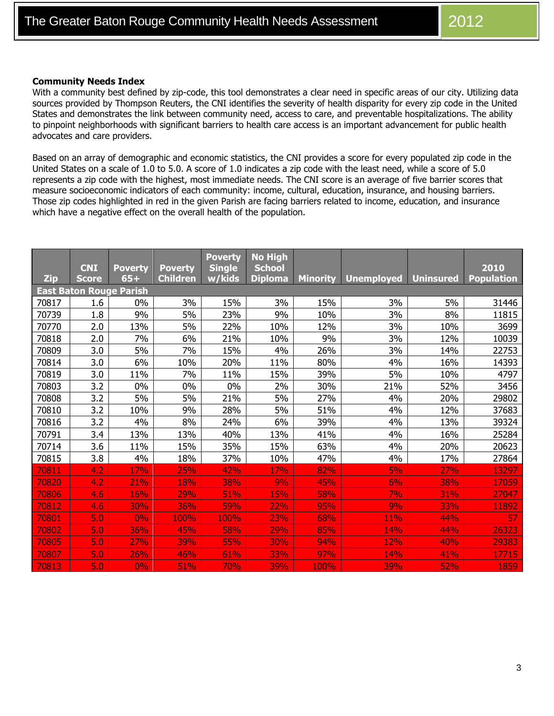#### **Community Needs Index**

With a community best defined by zip-code, this tool demonstrates a clear need in specific areas of our city. Utilizing data sources provided by Thompson Reuters, the CNI identifies the severity of health disparity for every zip code in the United States and demonstrates the link between community need, access to care, and preventable hospitalizations. The ability to pinpoint neighborhoods with significant barriers to health care access is an important advancement for public health advocates and care providers.

Based on an array of demographic and economic statistics, the CNI provides a score for every populated zip code in the United States on a scale of 1.0 to 5.0. A score of 1.0 indicates a zip code with the least need, while a score of 5.0 represents a zip code with the highest, most immediate needs. The CNI score is an average of five barrier scores that measure socioeconomic indicators of each community: income, cultural, education, insurance, and housing barriers. Those zip codes highlighted in red in the given Parish are facing barriers related to income, education, and insurance which have a negative effect on the overall health of the population.

|                                | <b>CNI</b>   | <b>Poverty</b> | <b>Poverty</b>  | <b>Poverty</b><br><b>Single</b> | <b>No High</b><br><b>School</b> |                 |                   |                  | 2010              |
|--------------------------------|--------------|----------------|-----------------|---------------------------------|---------------------------------|-----------------|-------------------|------------------|-------------------|
| <b>Zip</b>                     | <b>Score</b> | $65+$          | <b>Children</b> | w/kids                          | <b>Diploma</b>                  | <b>Minority</b> | <b>Unemployed</b> | <b>Uninsured</b> | <b>Population</b> |
| <b>East Baton Rouge Parish</b> |              |                |                 |                                 |                                 |                 |                   |                  |                   |
| 70817                          | 1.6          | 0%             | 3%              | 15%                             | 3%                              | 15%             | 3%                | 5%               | 31446             |
| 70739                          | 1.8          | 9%             | 5%              | 23%                             | 9%                              | 10%             | 3%                | 8%               | 11815             |
| 70770                          | 2.0          | 13%            | 5%              | 22%                             | 10%                             | 12%             | 3%                | 10%              | 3699              |
| 70818                          | 2.0          | 7%             | 6%              | 21%                             | 10%                             | 9%              | 3%                | 12%              | 10039             |
| 70809                          | 3.0          | 5%             | 7%              | 15%                             | 4%                              | 26%             | 3%                | 14%              | 22753             |
| 70814                          | 3.0          | 6%             | 10%             | 20%                             | 11%                             | 80%             | 4%                | 16%              | 14393             |
| 70819                          | 3.0          | 11%            | 7%              | 11%                             | 15%                             | 39%             | 5%                | 10%              | 4797              |
| 70803                          | 3.2          | 0%             | 0%              | 0%                              | 2%                              | 30%             | 21%               | 52%              | 3456              |
| 70808                          | 3.2          | 5%             | 5%              | 21%                             | 5%                              | 27%             | 4%                | 20%              | 29802             |
| 70810                          | 3.2          | 10%            | 9%              | 28%                             | 5%                              | 51%             | 4%                | 12%              | 37683             |
| 70816                          | 3.2          | 4%             | 8%              | 24%                             | 6%                              | 39%             | 4%                | 13%              | 39324             |
| 70791                          | 3.4          | 13%            | 13%             | 40%                             | 13%                             | 41%             | 4%                | 16%              | 25284             |
| 70714                          | 3.6          | 11%            | 15%             | 35%                             | 15%                             | 63%             | 4%                | 20%              | 20623             |
| 70815                          | 3.8          | 4%             | 18%             | 37%                             | 10%                             | 47%             | 4%                | 17%              | 27864             |
| 70811                          | 4.2          | 17%            | 25%             | 42%                             | <b>17%</b>                      | 82%             | 5%                | <b>27%</b>       | 13297             |
| 70820                          | 4.2          | 21%            | 18%             | 38%                             | 9%                              | 45%             | 6%                | 38%              | 17059             |
| 70806                          | 4.6          | 16%            | 29%             | 51%                             | 15%                             | 58%             | 7%                | 31%              | 27047             |
| 70812                          | 4.6          | 30%            | 36%             | 59%                             | 22%                             | 95%             | 9%                | 33%              | 11892             |
| 70801                          | 5.0          | 0%             | 100%            | 100%                            | 23%                             | 68%             | 11%               | 44%              | 57                |
| 70802                          | 5.0          | 36%            | 45%             | 58%                             | 29%                             | 85%             | 14%               | 44%              | 26323             |
| 70805                          | 5.0          | 27%            | 39%             | 55%                             | 30%                             | 94%             | 12%               | 40%              | 29383             |
| 70807                          | 5.0          | 26%            | 46%             | 61%                             | 33%                             | 97%             | 14%               | 41%              | 17715             |
| 70813                          | 5.0          | 0%             | 51%             | <b>70%</b>                      | 39%                             | 100%            | 39%               | 52%              | 1859              |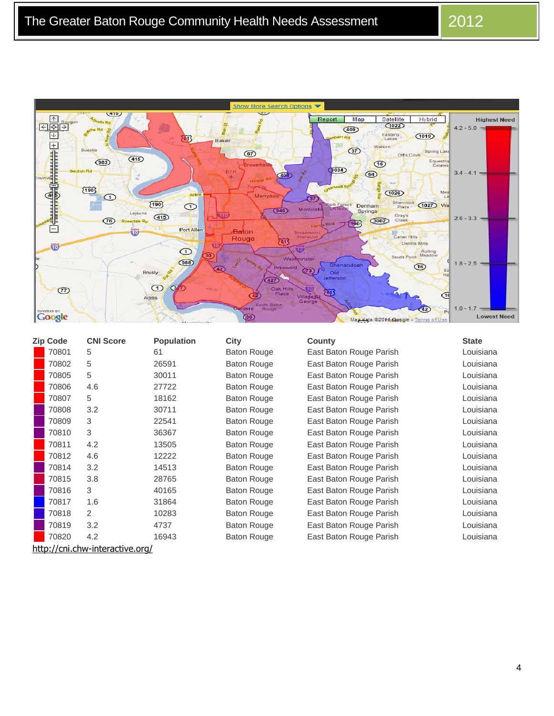Show More Search Options  $415$ ÷  $\begin{array}{r} \hline \left( \begin{array}{c|c} \hline \text{A} & \text{Row} \end{array} \right) \\ \hline \left( \begin{array}{c|c} \hline \text{A} & \text{Row} \end{array} \right) \\ \hline \hline \text{A} & \text{Min} \end{array}$ Report Map Satellite Hybrid<sup>1</sup> **Highest Need** th Rd  $(1022)$  $(409)$  $4.2 - 5.0$ 고 Viain Easterly<br>Lakes  $(1019)$ 函 Baker **Demandement de la Republicación de la** Watson Bueche  $\circled{3}$  $\circled{67}$ Spring Lak Ott's Cove  $(415)$ Equestri  $(983)$  $\circledR$  $(3034)$ BTF<br>+  $3.4 - 4.1$  –  $\circledcirc$ 408 Range  $\boxed{190}$  $(1026)$ Mea<br>La Merr AVE  $\odot$  $\circled{3}$  $\sqrt{190}$ Shamrock (1027) Wa 7  $\odot$ Denham  $(946)$ Monticelli Springs Lejeune **STO**  $(415)$ Gray's<br>Creek  $2.6 - 3.3$  –  $\circled{1}$  $(3002)$ Rosedale Ro 1903 Port Allen Baton<br>Rouge ŵ Carter Hills 冠 Dennis Mills  $\vec{v}$ Rolling<br>South Point Meadow  $\bigodot$  $\sqrt{12}$ Westminster  $\overline{688}$ d  $1.8 - 2.5$  – andoal  $\bigcirc$ Ration 1 Inniswold  $\bigcirc$  $Q$ ld Brusly  $\overline{427}$  $\bigcirc$   $\bigcirc$ Oak Hills<br>Place <u>क</u>  $\circled{r}$ 囤 Villagerst<br>George  $\overline{\mathbb{C}}$  $\bigcirc$ Addis  $1.0 - 1.7$ **Google** ére  $42)$  $\overrightarrow{P}$ 气  $\circledcirc$ **Lowest Need** Maggiata @2016 Gabgle - Terms of Use

| <b>Zip Code</b>                 | <b>CNI Score</b> | <b>Population</b> | <b>City</b>        | County                  | <b>State</b> |  |
|---------------------------------|------------------|-------------------|--------------------|-------------------------|--------------|--|
| 70801                           | 5                | 61                | <b>Baton Rouge</b> | East Baton Rouge Parish | Louisiana    |  |
| 70802                           | 5                | 26591             | <b>Baton Rouge</b> | East Baton Rouge Parish | Louisiana    |  |
| 70805                           | 5                | 30011             | <b>Baton Rouge</b> | East Baton Rouge Parish | Louisiana    |  |
| 70806                           | 4.6              | 27722             | <b>Baton Rouge</b> | East Baton Rouge Parish | Louisiana    |  |
| 70807                           | 5                | 18162             | <b>Baton Rouge</b> | East Baton Rouge Parish | Louisiana    |  |
| 70808                           | 3.2              | 30711             | <b>Baton Rouge</b> | East Baton Rouge Parish | Louisiana    |  |
| 70809                           | 3                | 22541             | <b>Baton Rouge</b> | East Baton Rouge Parish | Louisiana    |  |
| 70810                           | 3                | 36367             | <b>Baton Rouge</b> | East Baton Rouge Parish | Louisiana    |  |
| 70811                           | 4.2              | 13505             | <b>Baton Rouge</b> | East Baton Rouge Parish | Louisiana    |  |
| 70812                           | 4.6              | 12222             | <b>Baton Rouge</b> | East Baton Rouge Parish | Louisiana    |  |
| 70814                           | 3.2              | 14513             | <b>Baton Rouge</b> | East Baton Rouge Parish | Louisiana    |  |
| 70815                           | 3.8              | 28765             | <b>Baton Rouge</b> | East Baton Rouge Parish | Louisiana    |  |
| 70816                           | 3                | 40165             | <b>Baton Rouge</b> | East Baton Rouge Parish | Louisiana    |  |
| 70817                           | 1.6              | 31864             | <b>Baton Rouge</b> | East Baton Rouge Parish | Louisiana    |  |
| 70818                           | 2                | 10283             | <b>Baton Rouge</b> | East Baton Rouge Parish | Louisiana    |  |
| 70819                           | 3.2              | 4737              | <b>Baton Rouge</b> | East Baton Rouge Parish | Louisiana    |  |
| 70820                           | 4.2              | 16943             | <b>Baton Rouge</b> | East Baton Rouge Parish | Louisiana    |  |
| http://cni.chw-interactive.org/ |                  |                   |                    |                         |              |  |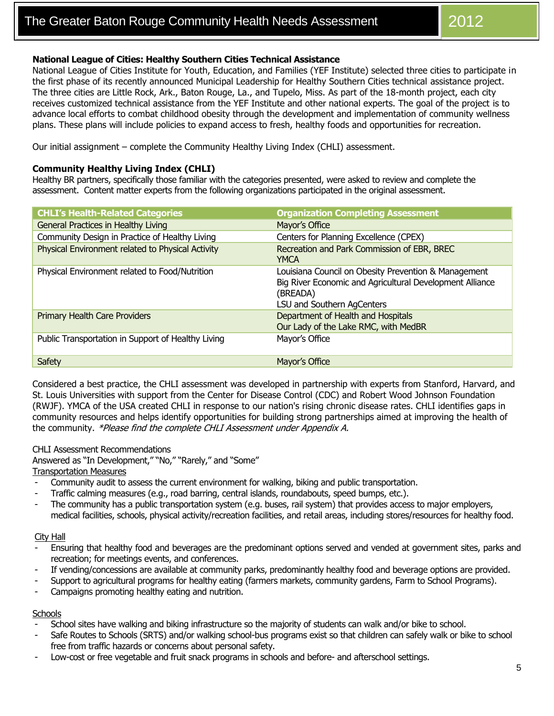#### **National League of Cities: Healthy Southern Cities Technical Assistance**

National League of Cities Institute for Youth, Education, and Families (YEF Institute) selected three cities to participate in the first phase of its recently announced Municipal Leadership for Healthy Southern Cities technical assistance project. The three cities are Little Rock, Ark., Baton Rouge, La., and Tupelo, Miss. As part of the 18-month project, each city receives customized technical assistance from the YEF Institute and other national experts. The goal of the project is to advance local efforts to combat childhood obesity through the development and implementation of community wellness plans. These plans will include policies to expand access to fresh, healthy foods and opportunities for recreation.

Our initial assignment – complete the Community Healthy Living Index (CHLI) assessment.

#### **Community Healthy Living Index (CHLI)**

Healthy BR partners, specifically those familiar with the categories presented, were asked to review and complete the assessment. Content matter experts from the following organizations participated in the original assessment.

| <b>CHLI's Health-Related Categories</b>            | <b>Organization Completing Assessment</b>                                                                                                                  |
|----------------------------------------------------|------------------------------------------------------------------------------------------------------------------------------------------------------------|
| General Practices in Healthy Living                | Mayor's Office                                                                                                                                             |
| Community Design in Practice of Healthy Living     | Centers for Planning Excellence (CPEX)                                                                                                                     |
| Physical Environment related to Physical Activity  | Recreation and Park Commission of EBR, BREC<br>YMCA                                                                                                        |
| Physical Environment related to Food/Nutrition     | Louisiana Council on Obesity Prevention & Management<br>Big River Economic and Agricultural Development Alliance<br>(BREADA)<br>LSU and Southern AgCenters |
| <b>Primary Health Care Providers</b>               | Department of Health and Hospitals<br>Our Lady of the Lake RMC, with MedBR                                                                                 |
| Public Transportation in Support of Healthy Living | Mayor's Office                                                                                                                                             |
| Safety                                             | Mayor's Office                                                                                                                                             |

Considered a best practice, the CHLI assessment was developed in partnership with experts from Stanford, Harvard, and St. Louis Universities with support from the Center for Disease Control (CDC) and Robert Wood Johnson Foundation (RWJF). YMCA of the USA created CHLI in response to our nation's rising chronic disease rates. CHLI identifies gaps in community resources and helps identify opportunities for building strong partnerships aimed at improving the health of the community. \*Please find the complete CHLI Assessment under Appendix A.

#### CHLI Assessment Recommendations

Answered as "In Development," "No," "Rarely," and "Some" Transportation Measures

- Community audit to assess the current environment for walking, biking and public transportation.
- Traffic calming measures (e.g., road barring, central islands, roundabouts, speed bumps, etc.).
- The community has a public transportation system (e.g. buses, rail system) that provides access to major employers, medical facilities, schools, physical activity/recreation facilities, and retail areas, including stores/resources for healthy food.

#### City Hall

- Ensuring that healthy food and beverages are the predominant options served and vended at government sites, parks and recreation; for meetings events, and conferences.
- If vending/concessions are available at community parks, predominantly healthy food and beverage options are provided.
- Support to agricultural programs for healthy eating (farmers markets, community gardens, Farm to School Programs).
- Campaigns promoting healthy eating and nutrition.

#### **Schools**

- School sites have walking and biking infrastructure so the majority of students can walk and/or bike to school.
- Safe Routes to Schools (SRTS) and/or walking school-bus programs exist so that children can safely walk or bike to school free from traffic hazards or concerns about personal safety.
- Low-cost or free vegetable and fruit snack programs in schools and before- and afterschool settings.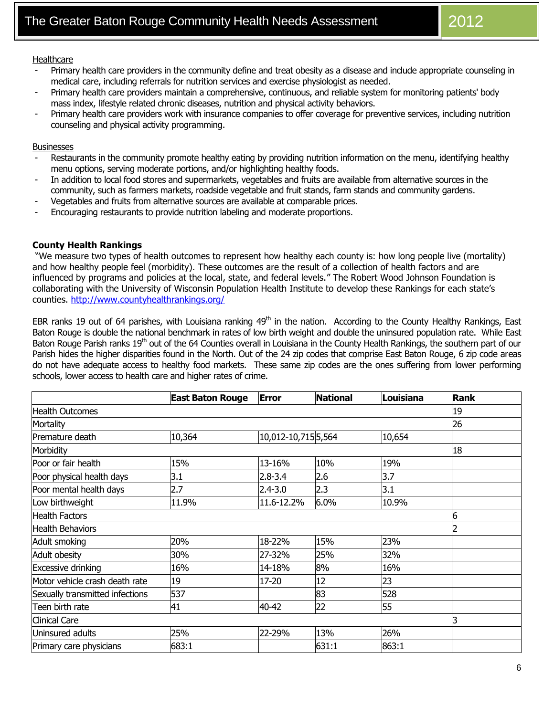#### **Healthcare**

- Primary health care providers in the community define and treat obesity as a disease and include appropriate counseling in medical care, including referrals for nutrition services and exercise physiologist as needed.
- Primary health care providers maintain a comprehensive, continuous, and reliable system for monitoring patients' body mass index, lifestyle related chronic diseases, nutrition and physical activity behaviors.
- Primary health care providers work with insurance companies to offer coverage for preventive services, including nutrition counseling and physical activity programming.

#### **Businesses**

- Restaurants in the community promote healthy eating by providing nutrition information on the menu, identifying healthy menu options, serving moderate portions, and/or highlighting healthy foods.
- In addition to local food stores and supermarkets, vegetables and fruits are available from alternative sources in the community, such as farmers markets, roadside vegetable and fruit stands, farm stands and community gardens.
- Vegetables and fruits from alternative sources are available at comparable prices.
- Encouraging restaurants to provide nutrition labeling and moderate proportions.

#### **County Health Rankings**

"We measure two types of health outcomes to represent how healthy each county is: how long people live (mortality) and how healthy people feel (morbidity). These outcomes are the result of a collection of health factors and are influenced by programs and policies at the local, state, and federal levels." The Robert Wood Johnson Foundation is collaborating with the University of Wisconsin Population Health Institute to develop these Rankings for each state's counties. <http://www.countyhealthrankings.org/>

EBR ranks 19 out of 64 parishes, with Louisiana ranking  $49<sup>th</sup>$  in the nation. According to the County Healthy Rankings, East Baton Rouge is double the national benchmark in rates of low birth weight and double the uninsured population rate. While East Baton Rouge Parish ranks 19<sup>th</sup> out of the 64 Counties overall in Louisiana in the County Health Rankings, the southern part of our Parish hides the higher disparities found in the North. Out of the 24 zip codes that comprise East Baton Rouge, 6 zip code areas do not have adequate access to healthy food markets. These same zip codes are the ones suffering from lower performing schools, lower access to health care and higher rates of crime.

|                                                     | <b>East Baton Rouge</b> | <b>Error</b>       | <b>National</b> | Louisiana | Rank |
|-----------------------------------------------------|-------------------------|--------------------|-----------------|-----------|------|
| <b>Health Outcomes</b>                              | 19                      |                    |                 |           |      |
| Mortality                                           | 26                      |                    |                 |           |      |
| Premature death                                     | 10,364                  | 10,012-10,7155,564 |                 | 10,654    |      |
| Morbidity                                           | 18                      |                    |                 |           |      |
| Poor or fair health                                 | 15%                     | 13-16%             | 10%             | 19%       |      |
| Poor physical health days                           | 3.1                     | $2.8 - 3.4$        | 2.6             | 3.7       |      |
| Poor mental health days                             | 2.7                     | $2.4 - 3.0$        | 2.3             | 3.1       |      |
| Low birthweight                                     | 11.9%                   | 11.6-12.2%         | 6.0%            | 10.9%     |      |
| <b>Health Factors</b>                               | 6                       |                    |                 |           |      |
| <b>Health Behaviors</b>                             |                         |                    |                 |           |      |
| Adult smoking                                       | 20%                     | 18-22%             | 15%             | 23%       |      |
| Adult obesity                                       | 30%                     | 27-32%             | 25%             | 32%       |      |
| <b>Excessive drinking</b>                           | 16%                     | 14-18%             | 8%              | 16%       |      |
| Motor vehicle crash death rate                      | 19                      | 17-20              | 12              | 23        |      |
| 537<br>528<br>83<br>Sexually transmitted infections |                         |                    |                 |           |      |
| Teen birth rate                                     | 41                      | 40-42              | 22              | 55        |      |
| <b>Clinical Care</b>                                | 3                       |                    |                 |           |      |
| Uninsured adults                                    | 25%                     | 22-29%             | 13%             | 26%       |      |
| Primary care physicians                             | 683:1                   |                    | 631:1           | 863:1     |      |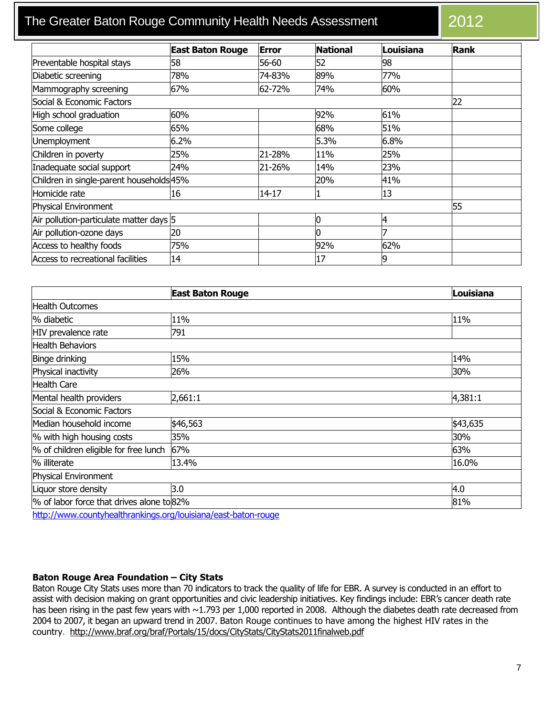# The Greater Baton Rouge Community Health Needs Assessment 2012

|                                          | <b>East Baton Rouge</b> | <b>Error</b> | <b>National</b> | Louisiana | Rank |
|------------------------------------------|-------------------------|--------------|-----------------|-----------|------|
| Preventable hospital stays               | 58                      | 56-60        | 52              | 98        |      |
| Diabetic screening                       | 78%                     | 74-83%       | 89%             | 77%       |      |
| Mammography screening                    | 67%                     | 62-72%       | 74%             | 60%       |      |
| Social & Economic Factors                |                         |              |                 |           | 22   |
| High school graduation                   | 60%                     |              | 92%             | 61%       |      |
| Some college                             | 65%                     |              | 68%             | 51%       |      |
| <b>Unemployment</b>                      | 6.2%                    |              | 5.3%            | 6.8%      |      |
| Children in poverty                      | 25%                     | 21-28%       | 11%             | 25%       |      |
| Inadequate social support                | 24%                     | 21-26%       | 14%             | 23%       |      |
| Children in single-parent households 45% |                         |              | 20%             | 41%       |      |
| Homicide rate                            | 16                      | 14-17        |                 | 13        |      |
| Physical Environment                     |                         |              |                 |           | 55   |
| Air pollution-particulate matter days 5  |                         |              |                 | 4         |      |
| Air pollution-ozone days                 | 20                      |              |                 |           |      |
| Access to healthy foods                  | 75%                     |              | 92%             | 62%       |      |
| Access to recreational facilities        | 14                      |              | 17              | 19        |      |

|                                       | <b>East Baton Rouge</b>                          | Louisiana |  |  |  |  |
|---------------------------------------|--------------------------------------------------|-----------|--|--|--|--|
| <b>Health Outcomes</b>                |                                                  |           |  |  |  |  |
| % diabetic                            | 11%                                              | 11%       |  |  |  |  |
| HIV prevalence rate                   | 791                                              |           |  |  |  |  |
| <b>Health Behaviors</b>               |                                                  |           |  |  |  |  |
| Binge drinking                        | 15%                                              | 14%       |  |  |  |  |
| Physical inactivity                   | 26%                                              | 30%       |  |  |  |  |
| Health Care                           |                                                  |           |  |  |  |  |
| Mental health providers               | 2,661:1                                          | 4,381:1   |  |  |  |  |
| Social & Economic Factors             |                                                  |           |  |  |  |  |
| Median household income               | \$46,563                                         | \$43,635  |  |  |  |  |
| % with high housing costs             | 35%                                              | 30%       |  |  |  |  |
| % of children eligible for free lunch | 67%                                              | 63%       |  |  |  |  |
| % illiterate                          | 13.4%                                            | 16.0%     |  |  |  |  |
| Physical Environment                  |                                                  |           |  |  |  |  |
| Liquor store density                  | 3.0                                              | 4.0       |  |  |  |  |
|                                       | % of labor force that drives alone to 82%<br>81% |           |  |  |  |  |

[http:](http://www.countyhealthrankings.org/louisiana/east-baton-rouge/67)[//www.countyhealthrankings.org/louisiana/east-baton-rouge](http://www.countyhealthrankings.org/louisiana/east-baton-rouge)

#### **Baton Rouge Area Foundation – City Stats**

Baton Rouge City Stats uses more than 70 indicators to track the quality of life for EBR. A survey is conducted in an effort to assist with decision making on grant opportunities and civic leadership initiatives. Key findings include: EBR's cancer death rate has been rising in the past few years with ~1.793 per 1,000 reported in 2008. Although the diabetes death rate decreased from 2004 to 2007, it began an upward trend in 2007. Baton Rouge continues to have among the highest HIV rates in the country**.** <http://www.braf.org/braf/Portals/15/docs/CityStats/CityStats2011finalweb.pdf>